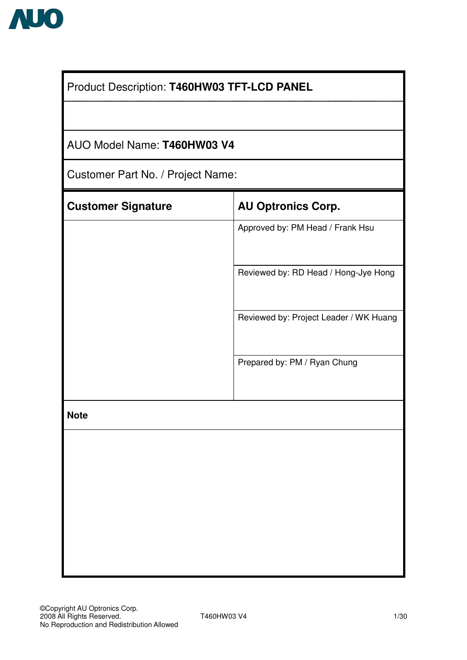

| Product Description: T460HW03 TFT-LCD PANEL |                                        |  |  |  |  |  |  |  |
|---------------------------------------------|----------------------------------------|--|--|--|--|--|--|--|
|                                             |                                        |  |  |  |  |  |  |  |
|                                             | AUO Model Name: T460HW03 V4            |  |  |  |  |  |  |  |
| Customer Part No. / Project Name:           |                                        |  |  |  |  |  |  |  |
| <b>Customer Signature</b>                   | <b>AU Optronics Corp.</b>              |  |  |  |  |  |  |  |
|                                             | Approved by: PM Head / Frank Hsu       |  |  |  |  |  |  |  |
|                                             | Reviewed by: RD Head / Hong-Jye Hong   |  |  |  |  |  |  |  |
|                                             | Reviewed by: Project Leader / WK Huang |  |  |  |  |  |  |  |
|                                             | Prepared by: PM / Ryan Chung           |  |  |  |  |  |  |  |
| <b>Note</b>                                 |                                        |  |  |  |  |  |  |  |
|                                             |                                        |  |  |  |  |  |  |  |
|                                             |                                        |  |  |  |  |  |  |  |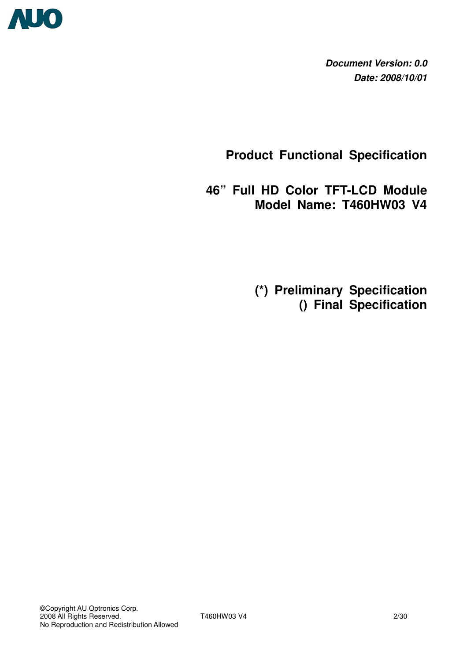

**Document Version: 0.0 Date: 2008/10/01**

**Product Functional Specification** 

**46" Full HD Color TFT-LCD Module Model Name: T460HW03 V4** 

 **(\*) Preliminary Specification () Final Specification**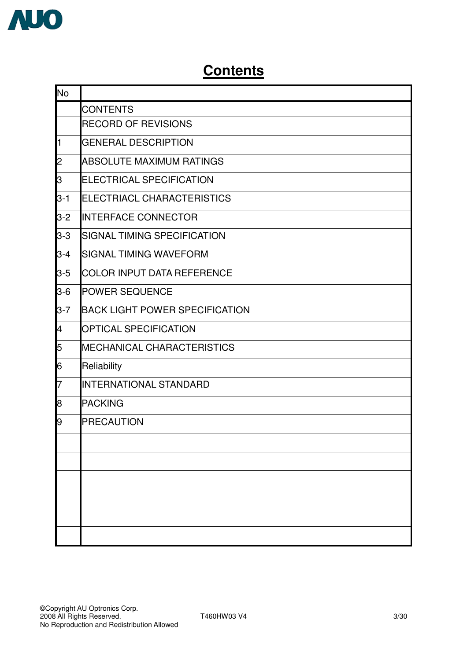

# **Contents**

| <b>No</b>      |                                       |
|----------------|---------------------------------------|
|                | <b>CONTENTS</b>                       |
|                | <b>RECORD OF REVISIONS</b>            |
| $\mathbf{1}$   | <b>GENERAL DESCRIPTION</b>            |
| $\overline{c}$ | ABSOLUTE MAXIMUM RATINGS              |
| 3              | <b>ELECTRICAL SPECIFICATION</b>       |
| $3 - 1$        | ELECTRIACL CHARACTERISTICS            |
| $3 - 2$        | <b>INTERFACE CONNECTOR</b>            |
| $3 - 3$        | SIGNAL TIMING SPECIFICATION           |
| $3 - 4$        | <b>SIGNAL TIMING WAVEFORM</b>         |
| $3-5$          | <b>COLOR INPUT DATA REFERENCE</b>     |
| $3-6$          | <b>POWER SEQUENCE</b>                 |
| $3 - 7$        | <b>BACK LIGHT POWER SPECIFICATION</b> |
| 4              | <b>OPTICAL SPECIFICATION</b>          |
| 5              | <b>MECHANICAL CHARACTERISTICS</b>     |
| 6              | Reliability                           |
| 7              | INTERNATIONAL STANDARD                |
| 8              | <b>PACKING</b>                        |
| 9              | <b>PRECAUTION</b>                     |
|                |                                       |
|                |                                       |
|                |                                       |
|                |                                       |
|                |                                       |
|                |                                       |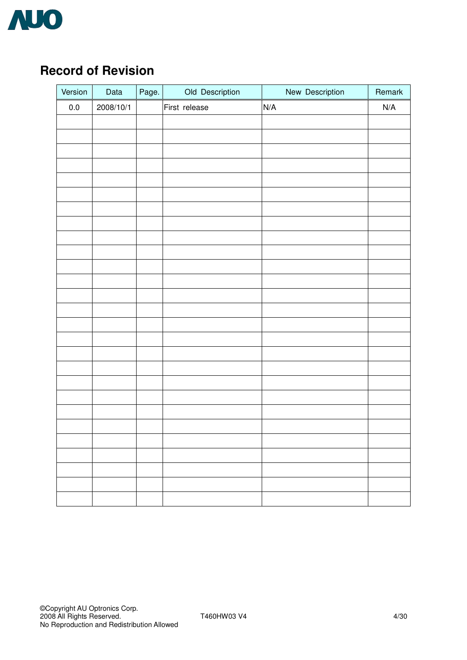

# **Record of Revision**

| Version | Data      | Page. | Old Description | New Description | Remark                  |
|---------|-----------|-------|-----------------|-----------------|-------------------------|
| $0.0\,$ | 2008/10/1 |       | First release   | N/A             | $\mathsf{N}/\mathsf{A}$ |
|         |           |       |                 |                 |                         |
|         |           |       |                 |                 |                         |
|         |           |       |                 |                 |                         |
|         |           |       |                 |                 |                         |
|         |           |       |                 |                 |                         |
|         |           |       |                 |                 |                         |
|         |           |       |                 |                 |                         |
|         |           |       |                 |                 |                         |
|         |           |       |                 |                 |                         |
|         |           |       |                 |                 |                         |
|         |           |       |                 |                 |                         |
|         |           |       |                 |                 |                         |
|         |           |       |                 |                 |                         |
|         |           |       |                 |                 |                         |
|         |           |       |                 |                 |                         |
|         |           |       |                 |                 |                         |
|         |           |       |                 |                 |                         |
|         |           |       |                 |                 |                         |
|         |           |       |                 |                 |                         |
|         |           |       |                 |                 |                         |
|         |           |       |                 |                 |                         |
|         |           |       |                 |                 |                         |
|         |           |       |                 |                 |                         |
|         |           |       |                 |                 |                         |
|         |           |       |                 |                 |                         |
|         |           |       |                 |                 |                         |
|         |           |       |                 |                 |                         |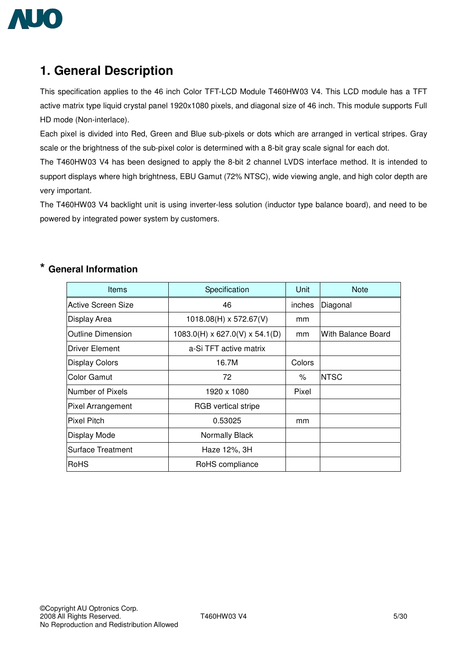

# **1. General Description**

This specification applies to the 46 inch Color TFT-LCD Module T460HW03 V4. This LCD module has a TFT active matrix type liquid crystal panel 1920x1080 pixels, and diagonal size of 46 inch. This module supports Full HD mode (Non-interlace).

Each pixel is divided into Red, Green and Blue sub-pixels or dots which are arranged in vertical stripes. Gray scale or the brightness of the sub-pixel color is determined with a 8-bit gray scale signal for each dot.

The T460HW03 V4 has been designed to apply the 8-bit 2 channel LVDS interface method. It is intended to support displays where high brightness, EBU Gamut (72% NTSC), wide viewing angle, and high color depth are very important.

The T460HW03 V4 backlight unit is using inverter-less solution (inductor type balance board), and need to be powered by integrated power system by customers.

| <b>Items</b>              | Specification                              | Unit   | <b>Note</b>        |
|---------------------------|--------------------------------------------|--------|--------------------|
| <b>Active Screen Size</b> | 46                                         | inches | Diagonal           |
| Display Area              | $1018.08(H) \times 572.67(V)$              | mm     |                    |
| <b>Outline Dimension</b>  | $1083.0(H) \times 627.0(V) \times 54.1(D)$ | mm     | With Balance Board |
| Driver Element            | a-Si TFT active matrix                     |        |                    |
| <b>Display Colors</b>     | 16.7M                                      | Colors |                    |
| Color Gamut               | 72                                         | %      | <b>NTSC</b>        |
| Number of Pixels          | 1920 x 1080                                | Pixel  |                    |
| <b>Pixel Arrangement</b>  | <b>RGB</b> vertical stripe                 |        |                    |
| <b>Pixel Pitch</b>        | 0.53025                                    | mm     |                    |
| Display Mode              | Normally Black                             |        |                    |
| <b>Surface Treatment</b>  | Haze 12%, 3H                               |        |                    |
| RoHS                      | RoHS compliance                            |        |                    |

### **\* General Information**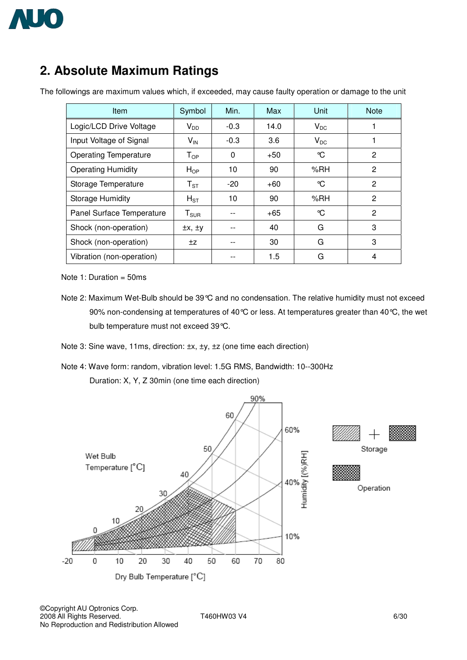

# **2. Absolute Maximum Ratings**

| <b>Item</b>                  | Symbol                       | Min.         | Max   | Unit     | <b>Note</b>    |
|------------------------------|------------------------------|--------------|-------|----------|----------------|
| Logic/LCD Drive Voltage      | $V_{DD}$                     | $-0.3$       | 14.0  | $V_{DC}$ |                |
| Input Voltage of Signal      | $V_{\text{IN}}$              | $-0.3$       | 3.6   | $V_{DC}$ |                |
| <b>Operating Temperature</b> | $T_{OP}$                     | $\mathbf{0}$ | $+50$ | ℃        | $\overline{2}$ |
| <b>Operating Humidity</b>    | $H_{OP}$                     | 10           | 90    | %RH      | $\overline{2}$ |
| Storage Temperature          | $T_{ST}$                     | $-20$        | $+60$ | ℃        | 2              |
| <b>Storage Humidity</b>      | $H_{ST}$                     | 10           | 90    | %RH      | 2              |
| Panel Surface Temperature    | $T_{\scriptstyle\text{SUR}}$ |              | $+65$ | °C       | $\overline{2}$ |
| Shock (non-operation)        | $\pm x, \pm y$               |              | 40    | G        | 3              |
| Shock (non-operation)        | ±z                           |              | 30    | G        | 3              |
| Vibration (non-operation)    |                              |              | 1.5   | G        | 4              |

The followings are maximum values which, if exceeded, may cause faulty operation or damage to the unit

Note 1: Duration  $=$  50ms

- Note 2: Maximum Wet-Bulb should be 39 °C and no condensation. The relative humidity must not exceed 90% non-condensing at temperatures of 40 °C or less. At temperatures greater than 40 °C, the wet bulb temperature must not exceed 39°C.
- Note 3: Sine wave, 11ms, direction: ±x, ±y, ±z (one time each direction)
- Note 4: Wave form: random, vibration level: 1.5G RMS, Bandwidth: 10--300Hz Duration: X, Y, Z 30min (one time each direction)



©Copyright AU Optronics Corp. 2008 All Rights Reserved. T460HW03 V4 6/30 No Reproduction and Redistribution Allowed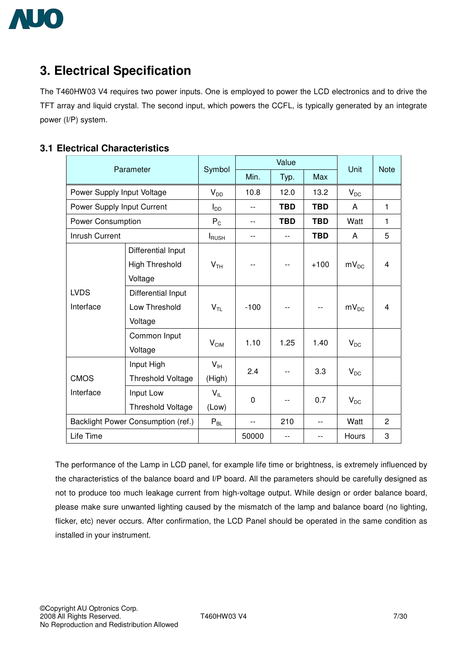

# **3. Electrical Specification**

The T460HW03 V4 requires two power inputs. One is employed to power the LCD electronics and to drive the TFT array and liquid crystal. The second input, which powers the CCFL, is typically generated by an integrate power (I/P) system.

### **3.1 Electrical Characteristics**

|                                    | Parameter                                   | Symbol           |          | Value      | Unit       | <b>Note</b>    |   |  |
|------------------------------------|---------------------------------------------|------------------|----------|------------|------------|----------------|---|--|
|                                    |                                             |                  | Min.     | Typ.       | Max        |                |   |  |
| Power Supply Input Voltage         |                                             | $V_{DD}$         | 10.8     | 12.0       | 13.2       | $V_{DC}$       |   |  |
| Power Supply Input Current         |                                             | $I_{DD}$         | $- -$    | <b>TBD</b> | <b>TBD</b> | A              | 1 |  |
| <b>Power Consumption</b>           |                                             | $P_C$            | $- -$    | <b>TBD</b> | <b>TBD</b> | Watt           | 1 |  |
| Inrush Current                     |                                             | <b>I</b> RUSH    | $-$      | $-$        | <b>TBD</b> | A              | 5 |  |
|                                    | Differential Input<br><b>High Threshold</b> | V <sub>TH</sub>  | $-$      | $-$        | $+100$     | $mV_{DC}$      | 4 |  |
|                                    | Voltage                                     |                  |          |            |            |                |   |  |
| <b>LVDS</b>                        | Differential Input                          |                  |          |            |            |                |   |  |
| Interface                          | Low Threshold                               | $V_{TL}$         | $-100$   | $-$        |            | $mV_{DC}$      | 4 |  |
|                                    | Voltage                                     |                  |          |            |            |                |   |  |
|                                    | Common Input                                | $V_{\text{CIM}}$ | 1.10     | 1.25       | 1.40       | $V_{DC}$       |   |  |
|                                    | Voltage                                     |                  |          |            |            |                |   |  |
|                                    | Input High                                  | $V_{\text{IH}}$  | 2.4      |            | 3.3        | $V_{DC}$       |   |  |
| <b>CMOS</b>                        | <b>Threshold Voltage</b>                    | (High)           |          |            |            |                |   |  |
| Interface                          | Input Low                                   | $V_{IL}$         | $\Omega$ | $-$        | 0.7        | $V_{DC}$       |   |  |
|                                    | Threshold Voltage                           | (Low)            |          |            |            |                |   |  |
| Backlight Power Consumption (ref.) | $P_{BL}$                                    | $- -$            | 210      | $-$        | Watt       | $\overline{2}$ |   |  |
| Life Time                          |                                             |                  | 50000    | $- -$      | $-$        | Hours          | 3 |  |

The performance of the Lamp in LCD panel, for example life time or brightness, is extremely influenced by the characteristics of the balance board and I/P board. All the parameters should be carefully designed as not to produce too much leakage current from high-voltage output. While design or order balance board, please make sure unwanted lighting caused by the mismatch of the lamp and balance board (no lighting, flicker, etc) never occurs. After confirmation, the LCD Panel should be operated in the same condition as installed in your instrument.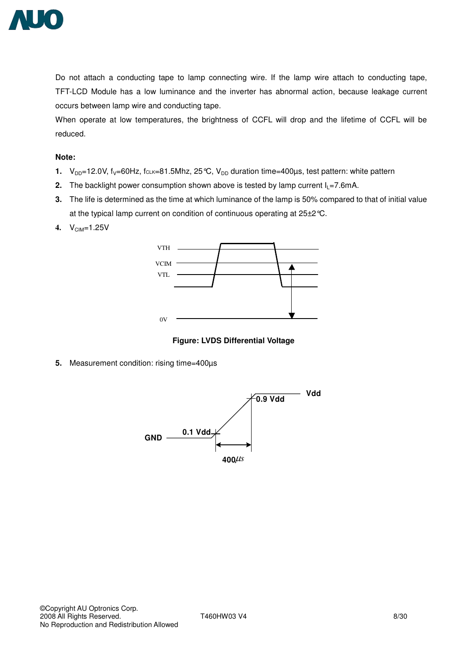

Do not attach a conducting tape to lamp connecting wire. If the lamp wire attach to conducting tape, TFT-LCD Module has a low luminance and the inverter has abnormal action, because leakage current occurs between lamp wire and conducting tape.

When operate at low temperatures, the brightness of CCFL will drop and the lifetime of CCFL will be reduced.

#### **Note:**

- **1.**  $V_{DD}$ =12.0V,  $f_V$ =60Hz,  $f_{CLK}=81.5$ Mhz, 25 °C,  $V_{DD}$  duration time=400 $\mu$ s, test pattern: white pattern
- **2.** The backlight power consumption shown above is tested by lamp current  $I_1 = 7.6$ mA.
- **3.** The life is determined as the time at which luminance of the lamp is 50% compared to that of initial value at the typical lamp current on condition of continuous operating at 25±2°C.
- **4.**  $V_{CIM} = 1.25V$





**5.** Measurement condition: rising time=400µs

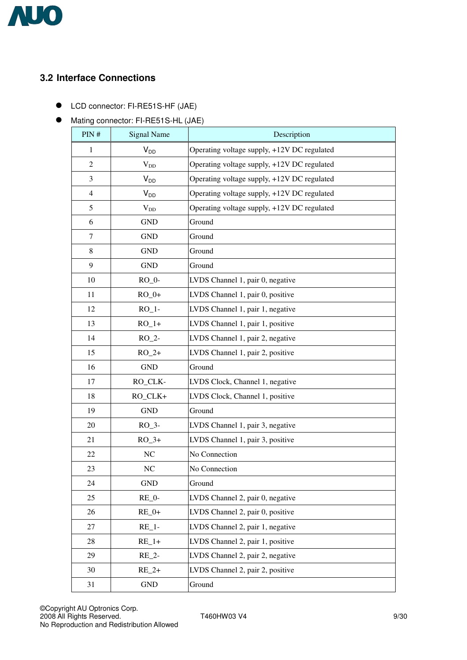

## **3.2 Interface Connections**

- ! LCD connector: FI-RE51S-HF (JAE)
- $\bullet$  Mating connector: FI-RE51S-HL (JAE)

| PIN#           | <b>Signal Name</b> | Description                                 |
|----------------|--------------------|---------------------------------------------|
| 1              | $V_{DD}$           | Operating voltage supply, +12V DC regulated |
| $\overline{2}$ | $V_{DD}$           | Operating voltage supply, +12V DC regulated |
| 3              | $V_{DD}$           | Operating voltage supply, +12V DC regulated |
| 4              | $V_{DD}$           | Operating voltage supply, +12V DC regulated |
| 5              | $V_{DD}$           | Operating voltage supply, +12V DC regulated |
| 6              | <b>GND</b>         | Ground                                      |
| $\tau$         | <b>GND</b>         | Ground                                      |
| 8              | <b>GND</b>         | Ground                                      |
| 9              | <b>GND</b>         | Ground                                      |
| 10             | $RO_0$ -           | LVDS Channel 1, pair 0, negative            |
| 11             | $RO_0+$            | LVDS Channel 1, pair 0, positive            |
| 12             | $RO_1$ -           | LVDS Channel 1, pair 1, negative            |
| 13             | $RO_1+$            | LVDS Channel 1, pair 1, positive            |
| 14             | $RO_2$ -           | LVDS Channel 1, pair 2, negative            |
| 15             | $RO_2+$            | LVDS Channel 1, pair 2, positive            |
| 16             | <b>GND</b>         | Ground                                      |
| 17             | RO_CLK-            | LVDS Clock, Channel 1, negative             |
| 18             | RO_CLK+            | LVDS Clock, Channel 1, positive             |
| 19             | <b>GND</b>         | Ground                                      |
| 20             | $RO_3$ -           | LVDS Channel 1, pair 3, negative            |
| 21             | $RO_3+$            | LVDS Channel 1, pair 3, positive            |
| 22             | NC                 | No Connection                               |
| 23             | NC                 | No Connection                               |
| 24             | <b>GND</b>         | Ground                                      |
| 25             | $RE_0$ -           | LVDS Channel 2, pair 0, negative            |
| 26             | $RE_0+$            | LVDS Channel 2, pair 0, positive            |
| 27             | $RE_1$ -           | LVDS Channel 2, pair 1, negative            |
| 28             | $RE_1+$            | LVDS Channel 2, pair 1, positive            |
| 29             | RE 2-              | LVDS Channel 2, pair 2, negative            |
| 30             | $RE_2+$            | LVDS Channel 2, pair 2, positive            |
| 31             | <b>GND</b>         | Ground                                      |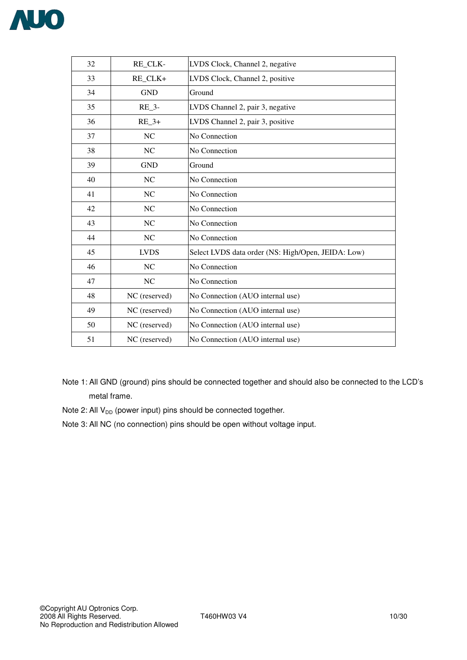

| 32 | RE CLK-       | LVDS Clock, Channel 2, negative                    |
|----|---------------|----------------------------------------------------|
| 33 | RE_CLK+       | LVDS Clock, Channel 2, positive                    |
| 34 | <b>GND</b>    | Ground                                             |
| 35 | $RE_3$ -      | LVDS Channel 2, pair 3, negative                   |
| 36 | $RE_3+$       | LVDS Channel 2, pair 3, positive                   |
| 37 | NC            | No Connection                                      |
| 38 | NC            | No Connection                                      |
| 39 | <b>GND</b>    | Ground                                             |
| 40 | NC            | No Connection                                      |
| 41 | NC            | No Connection                                      |
| 42 | <b>NC</b>     | No Connection                                      |
| 43 | NC            | No Connection                                      |
| 44 | NC            | No Connection                                      |
| 45 | <b>LVDS</b>   | Select LVDS data order (NS: High/Open, JEIDA: Low) |
| 46 | NC            | No Connection                                      |
| 47 | <b>NC</b>     | No Connection                                      |
| 48 | NC (reserved) | No Connection (AUO internal use)                   |
| 49 | NC (reserved) | No Connection (AUO internal use)                   |
| 50 | NC (reserved) | No Connection (AUO internal use)                   |
| 51 | NC (reserved) | No Connection (AUO internal use)                   |

- Note 1: All GND (ground) pins should be connected together and should also be connected to the LCD's metal frame.
- Note 2: All  $V_{DD}$  (power input) pins should be connected together.
- Note 3: All NC (no connection) pins should be open without voltage input.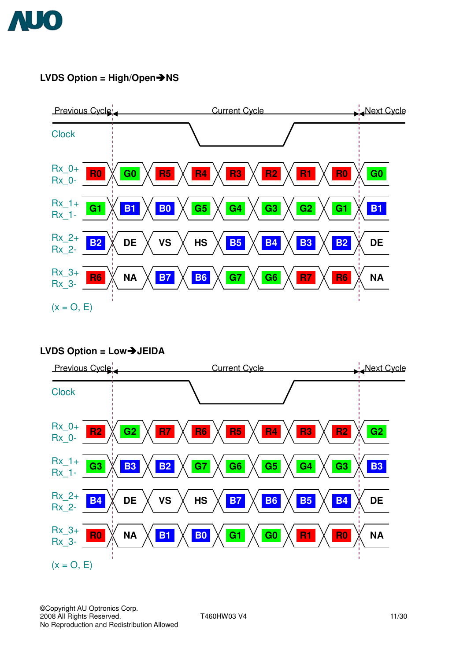

## **LVDS Option = High/Open→NS**



## **LVDS Option = Low**"**JEIDA**

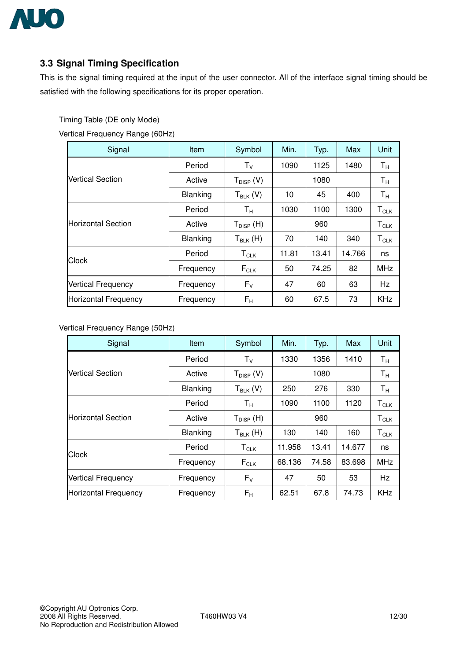

## **3.3 Signal Timing Specification**

This is the signal timing required at the input of the user connector. All of the interface signal timing should be satisfied with the following specifications for its proper operation.

Timing Table (DE only Mode)

Vertical Frequency Range (60Hz)

| Signal                      | Item      | Symbol                                                               | Min.  | Typ.      | Max    | Unit                        |  |  |
|-----------------------------|-----------|----------------------------------------------------------------------|-------|-----------|--------|-----------------------------|--|--|
|                             | Period    | $T_{V}$                                                              | 1090  | 1125      | 1480   | $\mathsf{T}_\mathsf{H}$     |  |  |
| <b>Vertical Section</b>     | Active    | $T_{\text{DISP}}$ (V)                                                |       | 1080      |        |                             |  |  |
|                             | Blanking  | $T_{BLK}$ (V)                                                        | 10    | 45        | 400    | $\mathsf{T}_\mathsf{H}$     |  |  |
|                             | Period    | $T_{\rm H}$                                                          | 1030  | 1100      | 1300   | $\mathsf{T}_{\mathsf{CLK}}$ |  |  |
| <b>Horizontal Section</b>   | Active    | ${\mathsf T}_{\operatorname{\mathsf{DISP}}}\left({\mathsf H}\right)$ |       | $T_{CLK}$ |        |                             |  |  |
|                             | Blanking  | $T_{BLK}$ (H)                                                        | 70    | 140       | 340    | $\mathsf{T}_{\mathsf{CLK}}$ |  |  |
| <b>Clock</b>                | Period    | $\mathsf{T}_{\mathsf{CLK}}$                                          | 11.81 | 13.41     | 14.766 | ns                          |  |  |
|                             | Frequency | $F_{CLK}$                                                            | 50    | 74.25     | 82     | <b>MHz</b>                  |  |  |
| Vertical Frequency          | Frequency | $F_V$                                                                | 47    | 60        | 63     | Hz                          |  |  |
| <b>Horizontal Frequency</b> | Frequency | $F_{\rm H}$                                                          | 60    | 67.5      | 73     | <b>KHz</b>                  |  |  |

Vertical Frequency Range (50Hz)

| Signal                      | Item            | Symbol                                                     | Min.   | Typ.                    | Max    | Unit        |
|-----------------------------|-----------------|------------------------------------------------------------|--------|-------------------------|--------|-------------|
|                             | Period          | $T_{V}$                                                    | 1330   | 1356                    | 1410   | $T_{\rm H}$ |
| <b>Vertical Section</b>     | Active          | $T_{\text{DISP}}$ (V)                                      |        | $\mathsf{T}_\mathsf{H}$ |        |             |
|                             | <b>Blanking</b> | $T_{BLK}$ (V)                                              | 250    | 276                     | 330    | $T_{\rm H}$ |
|                             | Period          | $\mathsf{T}_\mathsf{H}$                                    | 1090   | 1100                    | 1120   | $T_{CLK}$   |
| <b>Horizontal Section</b>   | Active          | ${\mathsf T}_{\operatorname{\mathsf{DISP}}}\({\mathsf H})$ |        | ${\sf T}_{\sf CLK}$     |        |             |
|                             | Blanking        | $T_{BLK}$ (H)                                              | 130    | 140                     | 160    | $T_{CLK}$   |
| <b>Clock</b>                | Period          | $T_{\scriptstyle{\text{CLK}}}$                             | 11.958 | 13.41                   | 14.677 | ns          |
|                             | Frequency       | $F_{CLK}$                                                  | 68.136 | 74.58                   | 83.698 | <b>MHz</b>  |
| <b>Vertical Frequency</b>   | Frequency       | $F_V$                                                      | 47     | 50                      | 53     | Hz          |
| <b>Horizontal Frequency</b> | Frequency       | $F_{\rm H}$                                                | 62.51  | 67.8                    | 74.73  | <b>KHz</b>  |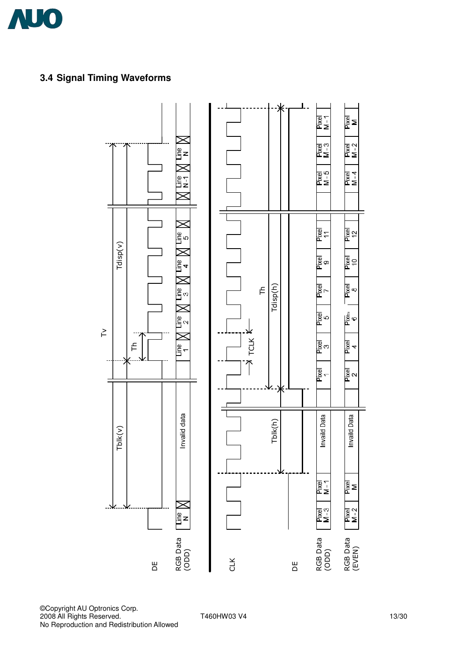

## **3.4 Signal Timing Waveforms**



©Copyright AU Optronics Corp. 2008 All Rights Reserved. T460HW03 V4 13/30 No Reproduction and Redistribution Allowed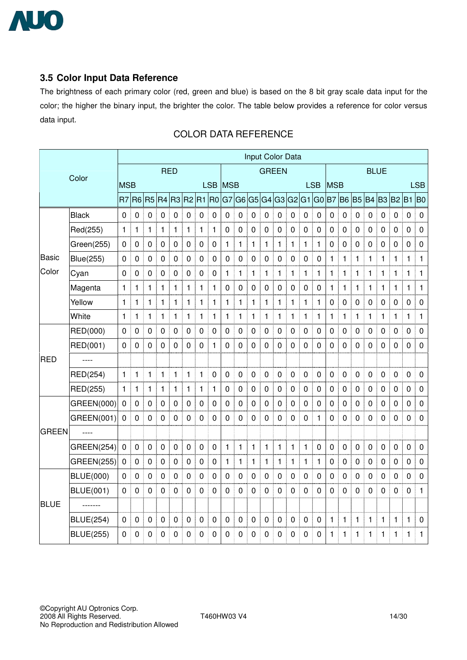

### **3.5 Color Input Data Reference**

The brightness of each primary color (red, green and blue) is based on the 8 bit gray scale data input for the color; the higher the binary input, the brighter the color. The table below provides a reference for color versus data input.

|              |                   | Input Color Data |                |              |                   |              |                |                |                |              |                |                |              |                |                          |              |              |                |              |                                  |                  |             |              |                |                  |
|--------------|-------------------|------------------|----------------|--------------|-------------------|--------------|----------------|----------------|----------------|--------------|----------------|----------------|--------------|----------------|--------------------------|--------------|--------------|----------------|--------------|----------------------------------|------------------|-------------|--------------|----------------|------------------|
|              | Color             |                  | <b>RED</b>     |              |                   |              |                |                |                |              |                | <b>GREEN</b>   |              |                |                          |              | <b>BLUE</b>  |                |              |                                  |                  |             |              |                |                  |
|              |                   | <b>MSB</b>       |                |              | LSB MSB           |              |                |                |                | <b>LSB</b>   |                |                |              |                | <b>MSB</b><br><b>LSB</b> |              |              |                |              |                                  |                  |             |              |                |                  |
|              |                   |                  | $R7$ $R6$      |              | R5 R4 R3 R2 R1 R0 |              |                |                |                | G7           |                |                | G6 G5 G4     |                | G3 G2 G1 G0              |              |              |                |              | B7   B6   B5   B4   B3   B2   B1 |                  |             |              |                | <b>B</b> O       |
|              | <b>Black</b>      | $\mathbf 0$      | 0              | 0            | 0                 | $\pmb{0}$    | 0              | $\pmb{0}$<br>Ī | $\mathbf 0$    | $\pmb{0}$    | 0              | $\mathbf 0$    | $\pmb{0}$    | $\pmb{0}$      | $\pmb{0}$                | $\pmb{0}$    | 0            | $\pmb{0}$      | 0            | $\mathbf 0$                      | 0                | 0           | $\mathbf 0$  | $\pmb{0}$      | $\mathbf 0$      |
|              | Red(255)          | $\mathbf{1}$     | 1              | $\mathbf{1}$ | 1                 | $\mathbf{1}$ | 1              | $\mathbf{1}$   | 1              | $\mathbf 0$  | 0              | $\mathbf 0$    | 0            | $\mathbf 0$    | $\mathbf 0$              | $\pmb{0}$    | 0            | $\mathbf 0$    | 0            | 0                                | $\pmb{0}$        | $\pmb{0}$   | $\mathbf 0$  | $\mathbf 0$    | $\pmb{0}$        |
|              | Green(255)        | 0                | 0              | $\mathbf 0$  | $\pmb{0}$         | $\pmb{0}$    | $\pmb{0}$      | $\mathbf 0$    | 0              | $\mathbf{1}$ | 1              | 1              | 1            | $\mathbf{1}$   | 1                        | $\mathbf{1}$ | 1            | $\mathbf 0$    | 0            | $\mathbf 0$                      | $\boldsymbol{0}$ | $\mathbf 0$ | 0            | $\mathbf 0$    | $\mathbf 0$      |
| <b>Basic</b> | <b>Blue(255)</b>  | 0                | $\mathbf 0$    | $\mathbf 0$  | $\mathbf 0$       | $\mathbf 0$  | $\mathbf 0$    | $\mathbf 0$    | $\mathbf 0$    | $\mathbf 0$  | $\mathbf 0$    | $\mathbf 0$    | $\pmb{0}$    | $\pmb{0}$      | $\pmb{0}$                | $\mathbf 0$  | $\mathbf 0$  | 1              | $\mathbf{1}$ | $\mathbf{1}$                     | 1                | 1           | 1            | 1              | $\mathbf{1}$     |
| Color        | Cyan              | $\mathbf 0$      | 0              | 0            | 0                 | $\mathbf 0$  | 0              | $\mathbf 0$    | $\overline{0}$ | 1            | 1              | 1              | 1            | $\mathbf{1}$   | 1                        | $\mathbf{1}$ | 1            | $\mathbf{1}$   | 1            | 1                                | 1                | 1           | 1            | $\mathbf{1}$   | $\mathbf{1}$     |
|              | Magenta           | 1                | $\mathbf{1}$   | $\mathbf{1}$ | 1                 | 1            | 1              | $\mathbf{1}$   | 1              | $\pmb{0}$    | 0              | $\overline{0}$ | 0            | $\mathbf 0$    | $\overline{0}$           | $\mathbf 0$  | $\pmb{0}$    | $\mathbf{1}$   | 1            | $\mathbf{1}$                     | 1                | 1           | $\mathbf{1}$ | $\mathbf{1}$   | $\mathbf{1}$     |
|              | Yellow            | $\mathbf{1}$     | $\mathbf{1}$   | $\mathbf{1}$ | 1                 | $\mathbf{1}$ | $\mathbf{1}$   | $\mathbf{1}$   | 1              | $\mathbf{1}$ | 1              | 1              | 1            | 1              | 1                        | $\mathbf{1}$ | 1            | 0              | 0            | $\pmb{0}$                        | $\mathbf 0$      | $\pmb{0}$   | 0            | $\pmb{0}$      | $\pmb{0}$        |
|              | White             | 1                | 1              | $\mathbf{1}$ | 1                 | 1            | 1              | $\mathbf{1}$   | 1              | 1            | 1              | $\mathbf{1}$   | $\mathbf{1}$ | $\mathbf{1}$   | $\mathbf{1}$             | $\mathbf{1}$ | $\mathbf{1}$ | $\mathbf{1}$   | 1            | $\mathbf{1}$                     | 1                | 1           | 1            | $\mathbf{1}$   | $\mathbf{1}$     |
|              | RED(000)          | $\overline{0}$   | $\mathbf 0$    | 0            | $\mathbf 0$       | $\mathbf 0$  | $\overline{0}$ | $\overline{0}$ | $\Omega$       | 0            | 0              | $\mathbf 0$    | 0            | $\mathbf 0$    | $\mathbf 0$              | $\mathbf 0$  | 0            | $\overline{0}$ | 0            | $\mathbf 0$                      | $\mathbf 0$      | $\mathbf 0$ | 0            | $\overline{0}$ | $\mathbf 0$      |
|              | RED(001)          | $\Omega$         | 0              | 0            | 0                 | $\mathbf 0$  | 0              | $\mathbf 0$    | 1              | 0            | 0              | $\mathbf 0$    | 0            | $\mathbf 0$    | 0                        | 0            | 0            | $\mathbf 0$    | 0            | $\mathbf 0$                      | $\mathbf 0$      | $\mathbf 0$ | 0            | $\mathbf 0$    | $\pmb{0}$        |
| <b>RED</b>   | $---$             |                  |                |              |                   |              |                |                |                |              |                |                |              |                |                          |              |              |                |              |                                  |                  |             |              |                |                  |
|              | RED(254)          | $\mathbf{1}$     | $\mathbf{1}$   | $\mathbf{1}$ | 1                 | 1            | $\mathbf{1}$   | $\mathbf{1}$   | $\mathbf 0$    | $\mathbf 0$  | $\mathbf 0$    | $\mathbf 0$    | $\mathbf 0$  | $\mathbf 0$    | $\mathbf 0$              | $\mathbf 0$  | $\mathbf 0$  | $\mathbf 0$    | $\mathbf 0$  | $\mathbf 0$                      | 0                | $\mathbf 0$ | $\mathbf 0$  | 0              | $\boldsymbol{0}$ |
|              | RED(255)          | 1                | 1              | $\mathbf{1}$ | 1                 | $\mathbf{1}$ | $\mathbf{1}$   | $\mathbf{1}$   | $\mathbf{1}$   | $\mathbf 0$  | $\mathbf 0$    | $\mathbf 0$    | $\pmb{0}$    | $\mathbf 0$    | $\mathbf 0$              | $\mathbf 0$  | $\mathbf 0$  | $\mathbf 0$    | $\mathbf 0$  | $\mathbf 0$                      | $\pmb{0}$        | $\mathbf 0$ | $\mathbf 0$  | $\mathbf 0$    | $\boldsymbol{0}$ |
|              | GREEN(000)        | $\mathbf 0$      | 0              | $\pmb{0}$    | 0                 | $\pmb{0}$    | 0              | $\pmb{0}$      | $\mathbf 0$    | $\mathbf 0$  | $\mathbf 0$    | $\mathbf 0$    | $\pmb{0}$    | $\mathbf 0$    | 0                        | $\mathbf 0$  | 0            | $\mathbf 0$    | 0            | $\pmb{0}$                        | $\mathbf 0$      | $\pmb{0}$   | $\mathbf 0$  | $\mathbf 0$    | $\pmb{0}$        |
|              | GREEN(001)        | $\mathbf 0$      | $\overline{0}$ | $\mathbf 0$  | 0                 | $\mathbf 0$  | 0              | $\mathbf 0$    | $\mathbf{0}$   | 0            | $\Omega$       | $\mathbf 0$    | 0            | $\mathbf 0$    | 0                        | $\mathbf 0$  | 1            | $\mathbf 0$    | 0            | 0                                | 0                | $\mathbf 0$ | $\Omega$     | $\mathbf 0$    | $\mathbf 0$      |
| <b>GREEN</b> | ----              |                  |                |              |                   |              |                |                |                |              |                |                |              |                |                          |              |              |                |              |                                  |                  |             |              |                |                  |
|              | <b>GREEN(254)</b> | $\mathbf 0$      | 0              | $\mathbf 0$  | $\mathbf 0$       | $\mathbf 0$  | $\mathbf 0$    | $\mathbf 0$    | $\mathbf 0$    | $\mathbf{1}$ | $\mathbf{1}$   | $\mathbf{1}$   | $\mathbf{1}$ | $\mathbf{1}$   | 1                        | $\mathbf{1}$ | $\mathbf 0$  | $\mathbf 0$    | $\mathbf 0$  | $\mathbf 0$                      | $\mathbf 0$      | $\mathbf 0$ | $\mathbf 0$  | $\overline{0}$ | $\pmb{0}$        |
|              | <b>GREEN(255)</b> | $\mathbf 0$      | $\mathbf 0$    | $\mathbf 0$  | 0                 | $\pmb{0}$    | 0              | $\mathbf 0$    | $\pmb{0}$      | 1            | 1              | $\mathbf{1}$   | 1            | $\mathbf{1}$   | 1                        | 1            | 1            | $\mathbf 0$    | $\pmb{0}$    | $\pmb{0}$                        | $\pmb{0}$        | $\pmb{0}$   | $\mathbf 0$  | $\mathbf 0$    | $\pmb{0}$        |
|              | <b>BLUE(000)</b>  | 0                | 0              | 0            | 0                 | 0            | 0              | $\mathbf 0$    | 0              | 0            | 0              | 0              | 0            | $\pmb{0}$      | $\mathbf 0$              | 0            | 0            | 0              | 0            | $\mathbf 0$                      | 0                | $\pmb{0}$   | 0            | $\mathbf 0$    | $\mathbf 0$      |
|              | <b>BLUE(001)</b>  | $\mathbf{0}$     | $\mathbf 0$    | 0            | 0                 | $\mathbf 0$  | 0              | $\mathbf 0$    | $\mathbf{0}$   | 0            | $\overline{0}$ | $\mathbf 0$    | 0            | $\overline{0}$ | $\mathbf 0$              | $\mathbf 0$  | 0            | $\mathbf 0$    | 0            | $\mathbf 0$                      | 0                | $\mathbf 0$ | $\Omega$     | $\mathbf 0$    | $\mathbf{1}$     |
| <b>BLUE</b>  | -------           |                  |                |              |                   |              |                |                |                |              |                |                |              |                |                          |              |              |                |              |                                  |                  |             |              |                |                  |
|              | <b>BLUE(254)</b>  | $\mathbf 0$      | 0              | $\mathbf 0$  | $\mathbf 0$       | $\mathbf 0$  | $\mathbf 0$    | $\pmb{0}$      | $\mathbf 0$    | 0            | $\mathbf 0$    | $\mathbf 0$    | 0            | $\pmb{0}$      | $\mathbf 0$              | $\pmb{0}$    | $\mathbf 0$  | 1              | 1            | 1                                | 1                | 1           | 1            | 1              | $\pmb{0}$        |
|              | <b>BLUE(255)</b>  | 0                | 0              | 0            | 0                 | 0            | 0              | 0              | 0              | 0            | 0              | 0              | 0            | $\mathbf 0$    | 0                        | 0            | 0            | 1              | 1            | 1                                | 1                | 1           | 1            | 1              | 1                |

### COLOR DATA REFERENCE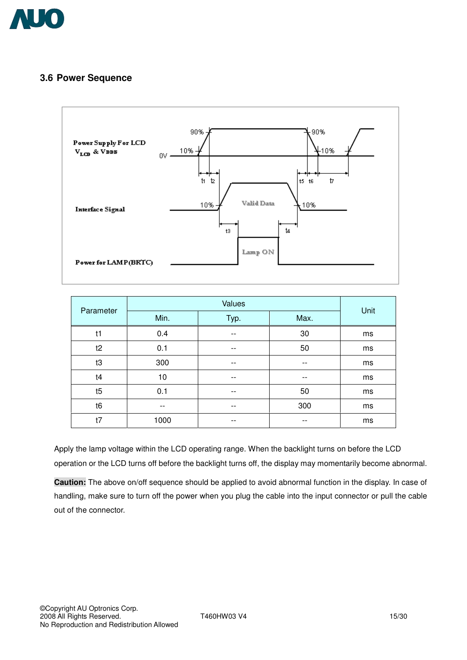

### **3.6 Power Sequence**



| Parameter      |      | Unit  |       |    |
|----------------|------|-------|-------|----|
|                | Min. | Max.  |       |    |
| t1             | 0.4  | --    | 30    | ms |
| t2             | 0.1  | --    | 50    | ms |
| t3             | 300  | --    | $- -$ | ms |
| t4             | 10   | $- -$ | --    | ms |
| t5             | 0.1  | --    | 50    | ms |
| t <sub>6</sub> | --   | --    | 300   | ms |
| t7             | 1000 | $- -$ | $- -$ | ms |

Apply the lamp voltage within the LCD operating range. When the backlight turns on before the LCD operation or the LCD turns off before the backlight turns off, the display may momentarily become abnormal.

**Caution:** The above on/off sequence should be applied to avoid abnormal function in the display. In case of handling, make sure to turn off the power when you plug the cable into the input connector or pull the cable out of the connector.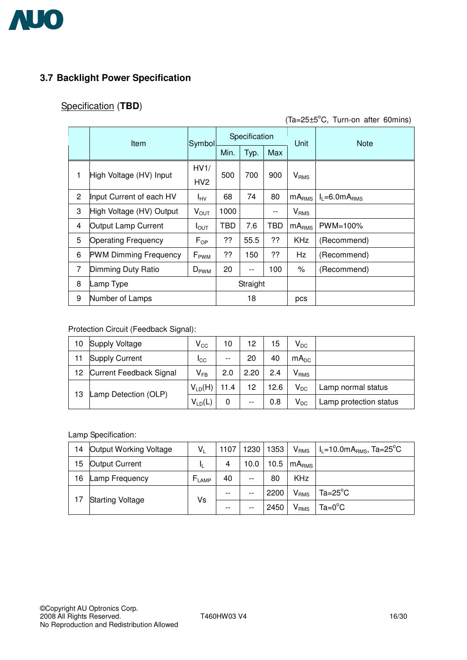

## **3.7 Backlight Power Specification**

## Specification (**TBD**)

 $(Ta=25\pm5\degree C,$  Turn-on after 60mins)

|                | <b>Item</b>                  | Symbol           | Specification |          |     | Unit                   | <b>Note</b>                 |
|----------------|------------------------------|------------------|---------------|----------|-----|------------------------|-----------------------------|
|                |                              |                  | Min.          | Typ.     | Max |                        |                             |
|                |                              | HV1/             |               | 700      |     | V <sub>RMS</sub>       |                             |
| 1              | High Voltage (HV) Input      | HV <sub>2</sub>  | 500           |          | 900 |                        |                             |
| $\overline{2}$ | Input Current of each HV     | <b>I</b> HV      | 68            | 74       | 80  | mA <sub>RMS</sub>      | $I_L = 6.0 \text{mA}_{RMS}$ |
| 3              | High Voltage (HV) Output     | $V_{\text{OUT}}$ | 1000          |          |     | <b>V<sub>RMS</sub></b> |                             |
| 4              | Output Lamp Current          | $I_{\text{OUT}}$ | TBD           | 7.6      | TBD | mA <sub>RMS</sub>      | PWM=100%                    |
| 5              | <b>Operating Frequency</b>   | $F_{OP}$         | ??            | 55.5     | ??  | KHz                    | (Recommend)                 |
| 6              | <b>PWM Dimming Frequency</b> | $F_{\rm PWM}$    | ??            | 150      | ??  | Hz                     | (Recommend)                 |
| 7              | Dimming Duty Ratio           | $D_{\rm PWM}$    | 20            | $- -$    | 100 | ℅                      | (Recommend)                 |
| 8              | Lamp Type                    |                  |               | Straight |     |                        |                             |
| 9              | Number of Lamps              |                  |               | 18       |     | pcs                    |                             |

#### Protection Circuit (Feedback Signal):

| 10                         | Supply Voltage          | $\mathsf{V}_{\mathsf{CC}}$ | 10    | 12    | 15   | $V_{DC}$  |                        |
|----------------------------|-------------------------|----------------------------|-------|-------|------|-----------|------------------------|
| 11                         | <b>Supply Current</b>   | <b>I</b> CC                | $- -$ | 20    | 40   | $mA_{DC}$ |                        |
| 12.                        | Current Feedback Signal | $V_{FB}$                   | 2.0   | 2.20  | 2.4  | $V_{RMS}$ |                        |
| Lamp Detection (OLP)<br>13 |                         | $V_{LD}(H)$                | 11.4  | 12    | 12.6 | $V_{DC}$  | Lamp normal status     |
|                            |                         | $V_{LD}(L)$                | 0     | $- -$ | 0.8  | $V_{DC}$  | Lamp protection status |

#### Lamp Specification:

| 14 | Output Working Voltage  | V.         |       | 1107   1230   1353 |      |                         | $V_{RMS}$   I <sub>L</sub> =10.0mA <sub>RMS</sub> , Ta=25 <sup>°</sup> C |
|----|-------------------------|------------|-------|--------------------|------|-------------------------|--------------------------------------------------------------------------|
| 15 | <b>Output Current</b>   |            | 4     | 10.0               |      | 10.5 $mARMS$            |                                                                          |
| 16 | Lamp Frequency          | $F_{LAMP}$ | 40    | $- -$              | 80   | <b>KHz</b>              |                                                                          |
|    |                         |            | $- -$ | $- -$              | 2200 | <b>V</b> <sub>RMS</sub> | $Ta = 25^{\circ}C$                                                       |
|    | <b>Starting Voltage</b> | Vs         | $- -$ | $- -$              | 2450 | <b>V<sub>RMS</sub></b>  | $Ta=0$ °C                                                                |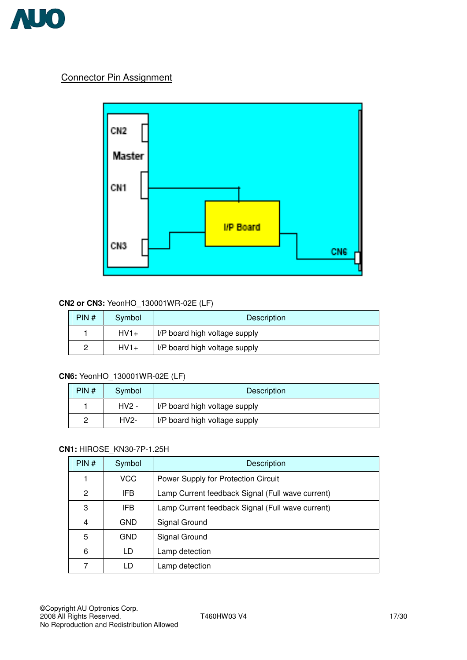

### Connector Pin Assignment



#### **CN2 or CN3:** YeonHO\_130001WR-02E (LF)

| PIN# | Symbol | Description                   |  |
|------|--------|-------------------------------|--|
|      | $HV1+$ | I/P board high voltage supply |  |
|      | $HV1+$ | I/P board high voltage supply |  |

#### **CN6:** YeonHO\_130001WR-02E (LF)

| PIN# | Symbol  | Description                   |  |
|------|---------|-------------------------------|--|
|      | $HV2 -$ | I/P board high voltage supply |  |
|      | $HV2-$  | I/P board high voltage supply |  |

#### **CN1:** HIROSE\_KN30-7P-1.25H

| PIN# | Symbol     | Description                                      |  |
|------|------------|--------------------------------------------------|--|
|      | <b>VCC</b> | Power Supply for Protection Circuit              |  |
| 2    | IFB.       | Lamp Current feedback Signal (Full wave current) |  |
| 3    | IFB        | Lamp Current feedback Signal (Full wave current) |  |
| 4    | <b>GND</b> | Signal Ground                                    |  |
| 5    | <b>GND</b> | Signal Ground                                    |  |
| 6    | LD         | Lamp detection                                   |  |
| 7    | L D        | Lamp detection                                   |  |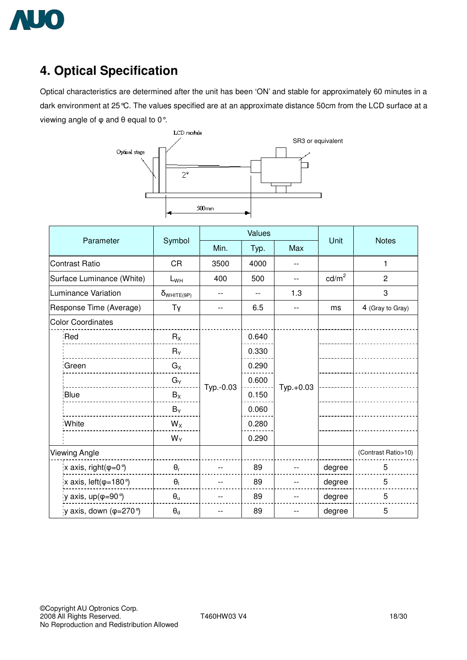

# **4. Optical Specification**

Optical characteristics are determined after the unit has been 'ON' and stable for approximately 60 minutes in a dark environment at 25°C. The values specified are at an approximate distance 50cm from the LCD surface at a viewing angle of  $\varphi$  and  $\theta$  equal to 0°.



| Parameter                                |                      |           | Values |           | Unit            | <b>Notes</b>        |
|------------------------------------------|----------------------|-----------|--------|-----------|-----------------|---------------------|
|                                          | Symbol               | Min.      | Typ.   | Max       |                 |                     |
| <b>Contrast Ratio</b>                    | <b>CR</b>            | 3500      | 4000   |           |                 | 1                   |
| Surface Luminance (White)                | $L_{WH}$             | 400       | 500    | --        | $\text{cd/m}^2$ | $\overline{c}$      |
| <b>Luminance Variation</b>               | $\delta_{WHITE(9P)}$ |           |        | 1.3       |                 | 3                   |
| Response Time (Average)                  | Tγ                   | --        | 6.5    | --        | ms              | 4 (Gray to Gray)    |
| <b>Color Coordinates</b>                 |                      |           |        |           |                 |                     |
| <b>Red</b>                               | $R_X$                |           | 0.640  |           |                 |                     |
|                                          | $R_Y$                |           | 0.330  |           |                 |                     |
| :Green                                   | $G_X$                |           | 0.290  |           |                 |                     |
|                                          | $G_Y$                |           | 0.600  |           |                 |                     |
| Blue                                     | $B_X$                | Typ.-0.03 | 0.150  | Typ.+0.03 |                 |                     |
|                                          | $B_Y$                |           | 0.060  |           |                 |                     |
| :White                                   | $W_X$                |           | 0.280  |           |                 |                     |
|                                          | $W_Y$                |           | 0.290  |           |                 |                     |
| <b>Viewing Angle</b>                     |                      |           |        |           |                 | (Contrast Ratio>10) |
| x axis, right( $\varphi$ =0 $^{\circ}$ ) | $\theta_r$           |           | 89     |           | degree          | 5                   |
| x axis, $left(\phi=180^\circ\right)$     | $\theta_1$           |           | 89     |           | degree          | 5                   |
| y axis, $up(\varphi=90^{\circ})$         | $\theta_{u}$         |           | 89     |           | degree          | 5                   |
| ly axis, down $(\varphi=270^{\circ})$    | $\Theta_{\rm d}$     |           | 89     |           | degree          | 5                   |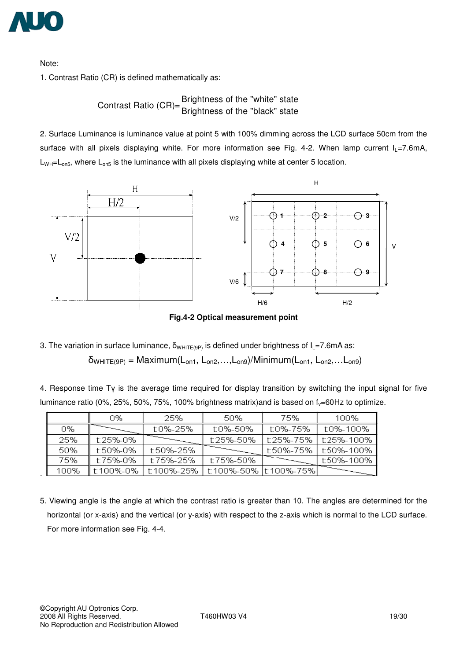

Note:

.

1. Contrast Ratio (CR) is defined mathematically as:

Contrast Ratio (CR)= $\frac{\text{Brighness of the "white" state}}{\text{Brightness of the "black" state}}$ 

2. Surface Luminance is luminance value at point 5 with 100% dimming across the LCD surface 50cm from the surface with all pixels displaying white. For more information see Fig. 4-2. When lamp current  $I_L$ =7.6mA,  $L_{WH} = L_{on5}$ , where  $L_{on5}$  is the luminance with all pixels displaying white at center 5 location.



**Fig.4-2 Optical measurement point** 

3. The variation in surface luminance,  $\delta_{WHITE(9P)}$  is defined under brightness of  $I_L$ =7.6mA as:  $\delta_{WHITE(9P)} = \text{Maximum}(L_{on1}, L_{on2}, \ldots, L_{on9})/\text{Minimum}(L_{on1}, L_{on2}, \ldots, L_{on9})$ 

4. Response time  $T_{\rm V}$  is the average time required for display transition by switching the input signal for five luminance ratio (0%, 25%, 50%, 75%, 100% brightness matrix) and is based on  $f_y=60$  Hz to optimize.

|      | 0%        | 25%        | 50%                     | 75%       | 100%       |
|------|-----------|------------|-------------------------|-----------|------------|
| 0%   |           | t:0%-25%   | t:0%-50%                | t:0%-75%  | t:0%-100%  |
| 25%  | t:25%-0%  |            | t:25%-50%               | t:25%-75% | t:25%-100% |
| 50%  | t:50%-0%  | f:50%-25%  |                         | t:50%-75% | t:50%-100% |
| 75%  | t:75%-0%  | t:75%-25%  | t:75%-50%               |           | t:50%-100% |
| 100% | t:100%-0% | t:100%-25% | t:100%-50% lt:100%-75%l |           |            |

5. Viewing angle is the angle at which the contrast ratio is greater than 10. The angles are determined for the horizontal (or x-axis) and the vertical (or y-axis) with respect to the z-axis which is normal to the LCD surface. For more information see Fig. 4-4.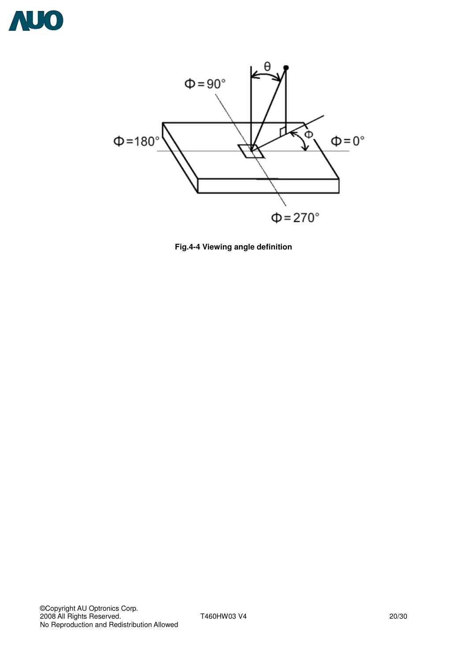



**Fig.4-4 Viewing angle definition**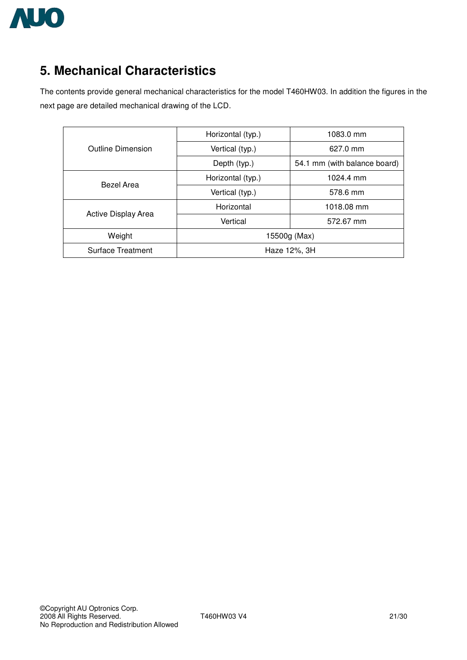

# **5. Mechanical Characteristics**

The contents provide general mechanical characteristics for the model T460HW03. In addition the figures in the next page are detailed mechanical drawing of the LCD.

|                          | Horizontal (typ.) | 1083.0 mm                    |  |
|--------------------------|-------------------|------------------------------|--|
| Outline Dimension        | Vertical (typ.)   | 627.0 mm                     |  |
|                          | Depth (typ.)      | 54.1 mm (with balance board) |  |
| Bezel Area               | Horizontal (typ.) | 1024.4 mm                    |  |
|                          | Vertical (typ.)   | 578.6 mm                     |  |
| Active Display Area      | Horizontal        | 1018.08 mm                   |  |
|                          | Vertical          | 572.67 mm                    |  |
| Weight                   | 15500g (Max)      |                              |  |
| <b>Surface Treatment</b> | Haze 12%, 3H      |                              |  |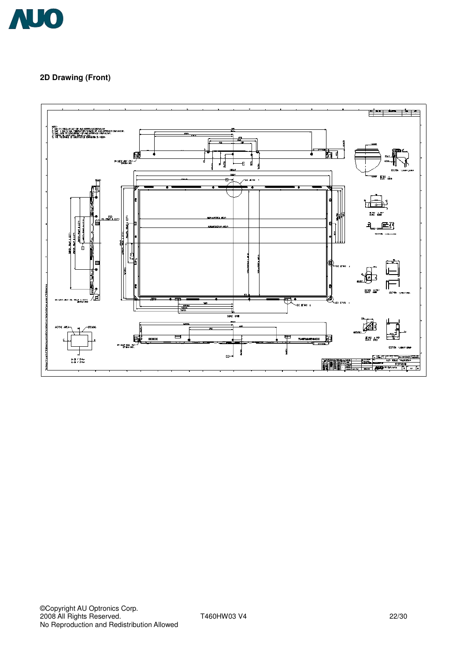

#### **2D Drawing (Front)**

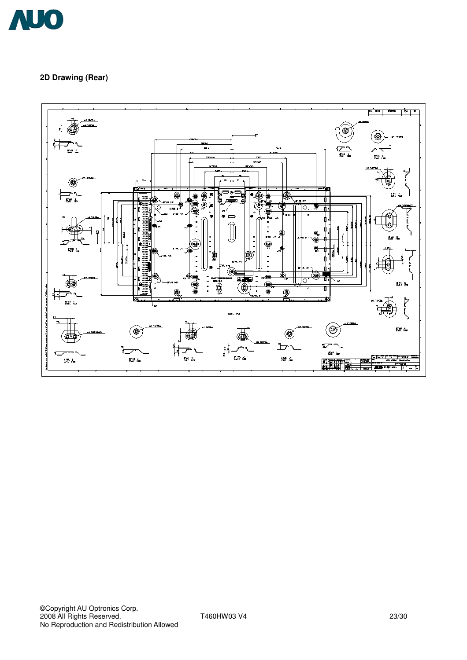

#### **2D Drawing (Rear)**

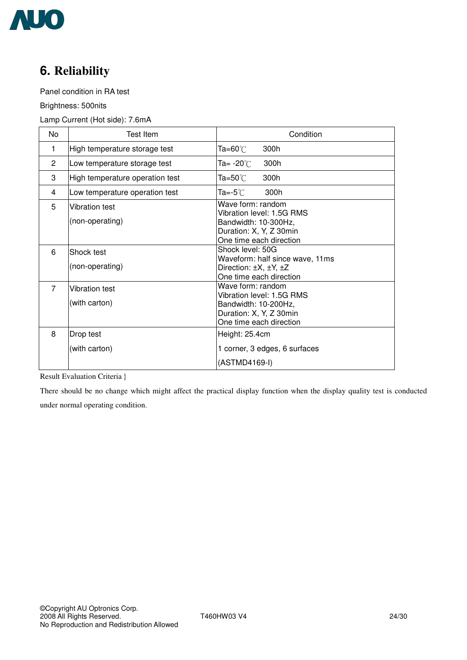

# **6. Reliability**

Panel condition in RA test

Brightness: 500nits

#### Lamp Current (Hot side): 7.6mA

| No             | Test Item                              | Condition                                                                                                                    |
|----------------|----------------------------------------|------------------------------------------------------------------------------------------------------------------------------|
| 1              | High temperature storage test          | Ta=60℃<br>300h                                                                                                               |
| 2              | Low temperature storage test           | Ta= -20℃<br>300h                                                                                                             |
| 3              | High temperature operation test        | Ta=50 $^\circ\!{\rm C}$<br>300h                                                                                              |
| 4              | Low temperature operation test         | Ta=-5℃<br>300h                                                                                                               |
| 5              | Vibration test<br>(non-operating)      | Wave form: random<br>Vibration level: 1.5G RMS<br>Bandwidth: 10-300Hz,<br>Duration: X, Y, Z 30min<br>One time each direction |
| 6              | Shock test<br>(non-operating)          | Shock level: 50G<br>Waveform: half since wave, 11ms<br>Direction: $\pm X$ , $\pm Y$ , $\pm Z$<br>One time each direction     |
| $\overline{7}$ | <b>Vibration test</b><br>(with carton) | Wave form: random<br>Vibration level: 1.5G RMS<br>Bandwidth: 10-200Hz,<br>Duration: X, Y, Z 30min<br>One time each direction |
| 8              | Drop test<br>(with carton)             | Height: 25.4cm<br>1 corner, 3 edges, 6 surfaces<br>(ASTMD4169-I)                                                             |

Result Evaluation Criteria

There should be no change which might affect the practical display function when the display quality test is conducted under normal operating condition.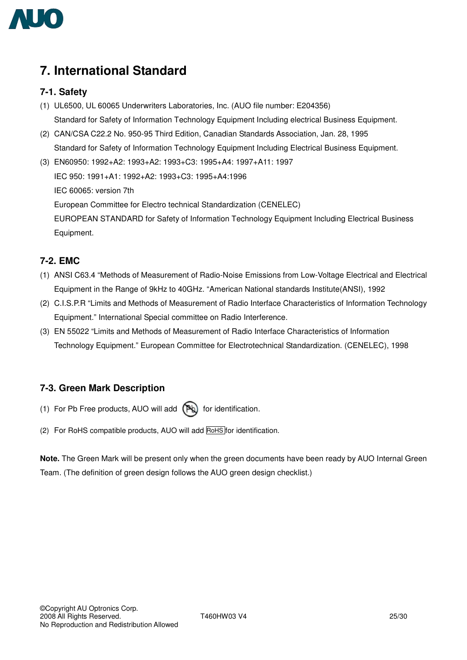

# **7. International Standard**

### **7-1. Safety**

- (1) UL6500, UL 60065 Underwriters Laboratories, Inc. (AUO file number: E204356) Standard for Safety of Information Technology Equipment Including electrical Business Equipment.
- (2) CAN/CSA C22.2 No. 950-95 Third Edition, Canadian Standards Association, Jan. 28, 1995 Standard for Safety of Information Technology Equipment Including Electrical Business Equipment.

(3) EN60950: 1992+A2: 1993+A2: 1993+C3: 1995+A4: 1997+A11: 1997 IEC 950: 1991+A1: 1992+A2: 1993+C3: 1995+A4:1996 IEC 60065: version 7th European Committee for Electro technical Standardization (CENELEC) EUROPEAN STANDARD for Safety of Information Technology Equipment Including Electrical Business Equipment.

### **7-2. EMC**

- (1) ANSI C63.4 "Methods of Measurement of Radio-Noise Emissions from Low-Voltage Electrical and Electrical Equipment in the Range of 9kHz to 40GHz. "American National standards Institute(ANSI), 1992
- (2) C.I.S.P.R "Limits and Methods of Measurement of Radio Interface Characteristics of Information Technology Equipment." International Special committee on Radio Interference.
- (3) EN 55022 "Limits and Methods of Measurement of Radio Interface Characteristics of Information Technology Equipment." European Committee for Electrotechnical Standardization. (CENELEC), 1998

### **7-3. Green Mark Description**

- (1) For Pb Free products, AUO will add  $(P_4)$  for identification.
- (2) For RoHS compatible products, AUO will add RoHS for identification.

**Note.** The Green Mark will be present only when the green documents have been ready by AUO Internal Green Team. (The definition of green design follows the AUO green design checklist.)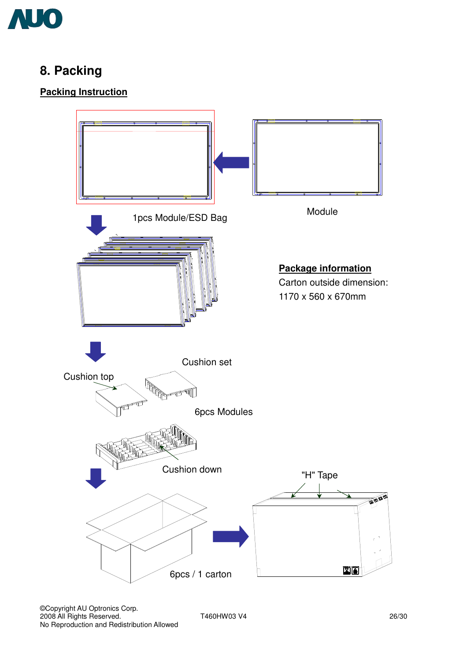

# **8. Packing**

## **Packing Instruction**

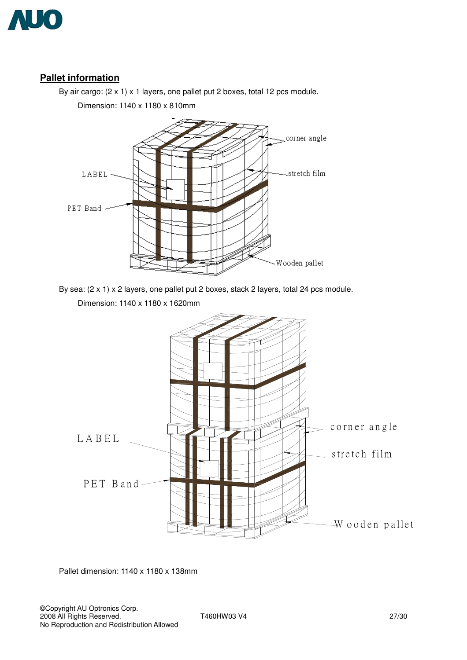

### **Pallet information**

By air cargo: (2 x 1) x 1 layers, one pallet put 2 boxes, total 12 pcs module.

Dimension: 1140 x 1180 x 810mm



By sea: (2 x 1) x 2 layers, one pallet put 2 boxes, stack 2 layers, total 24 pcs module.





Pallet dimension: 1140 x 1180 x 138mm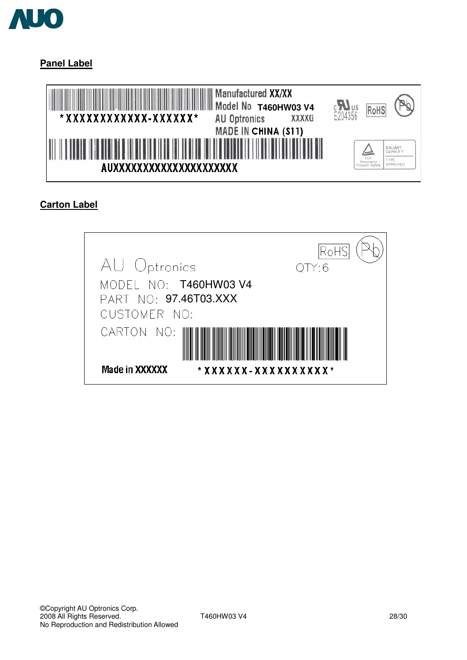

**Panel Label**



## **Carton Label**

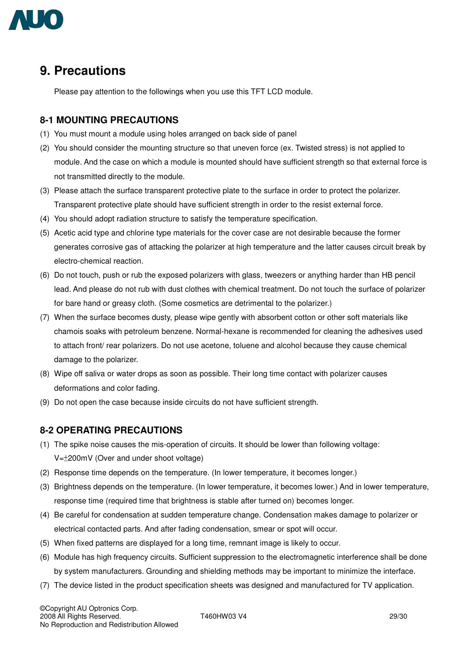

## **9. Precautions**

Please pay attention to the followings when you use this TFT LCD module.

#### **8-1 MOUNTING PRECAUTIONS**

- (1) You must mount a module using holes arranged on back side of panel
- (2) You should consider the mounting structure so that uneven force (ex. Twisted stress) is not applied to module. And the case on which a module is mounted should have sufficient strength so that external force is not transmitted directly to the module.
- (3) Please attach the surface transparent protective plate to the surface in order to protect the polarizer. Transparent protective plate should have sufficient strength in order to the resist external force.
- (4) You should adopt radiation structure to satisfy the temperature specification.
- (5) Acetic acid type and chlorine type materials for the cover case are not desirable because the former generates corrosive gas of attacking the polarizer at high temperature and the latter causes circuit break by electro-chemical reaction.
- (6) Do not touch, push or rub the exposed polarizers with glass, tweezers or anything harder than HB pencil lead. And please do not rub with dust clothes with chemical treatment. Do not touch the surface of polarizer for bare hand or greasy cloth. (Some cosmetics are detrimental to the polarizer.)
- (7) When the surface becomes dusty, please wipe gently with absorbent cotton or other soft materials like chamois soaks with petroleum benzene. Normal-hexane is recommended for cleaning the adhesives used to attach front/ rear polarizers. Do not use acetone, toluene and alcohol because they cause chemical damage to the polarizer.
- (8) Wipe off saliva or water drops as soon as possible. Their long time contact with polarizer causes deformations and color fading.
- (9) Do not open the case because inside circuits do not have sufficient strength.

### **8-2 OPERATING PRECAUTIONS**

- (1) The spike noise causes the mis-operation of circuits. It should be lower than following voltage:  $V = \pm 200$ mV (Over and under shoot voltage)
- (2) Response time depends on the temperature. (In lower temperature, it becomes longer.)
- (3) Brightness depends on the temperature. (In lower temperature, it becomes lower.) And in lower temperature, response time (required time that brightness is stable after turned on) becomes longer.
- (4) Be careful for condensation at sudden temperature change. Condensation makes damage to polarizer or electrical contacted parts. And after fading condensation, smear or spot will occur.
- (5) When fixed patterns are displayed for a long time, remnant image is likely to occur.
- (6) Module has high frequency circuits. Sufficient suppression to the electromagnetic interference shall be done by system manufacturers. Grounding and shielding methods may be important to minimize the interface.
- (7) The device listed in the product specification sheets was designed and manufactured for TV application.